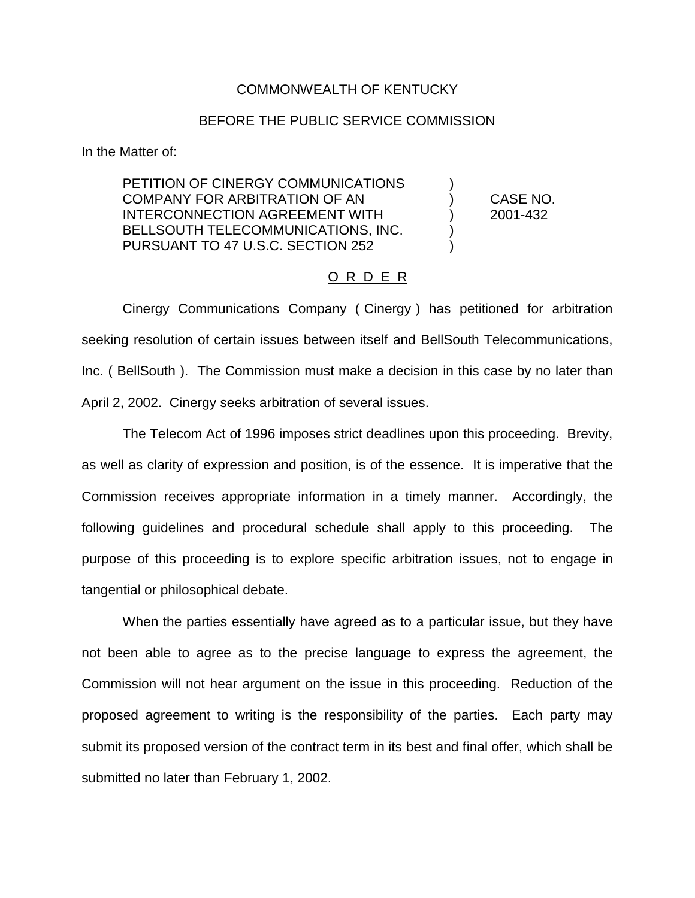## COMMONWEALTH OF KENTUCKY

## BEFORE THE PUBLIC SERVICE COMMISSION

In the Matter of:

PETITION OF CINERGY COMMUNICATIONS COMPANY FOR ARBITRATION OF AN ) CASE NO. INTERCONNECTION AGREEMENT WITH ) 2001-432 BELLSOUTH TELECOMMUNICATIONS, INC. PURSUANT TO 47 U.S.C. SECTION 252 )

## O R D E R

Cinergy Communications Company ( Cinergy ) has petitioned for arbitration seeking resolution of certain issues between itself and BellSouth Telecommunications, Inc. ( BellSouth ). The Commission must make a decision in this case by no later than April 2, 2002. Cinergy seeks arbitration of several issues.

The Telecom Act of 1996 imposes strict deadlines upon this proceeding. Brevity, as well as clarity of expression and position, is of the essence. It is imperative that the Commission receives appropriate information in a timely manner. Accordingly, the following guidelines and procedural schedule shall apply to this proceeding. The purpose of this proceeding is to explore specific arbitration issues, not to engage in tangential or philosophical debate.

When the parties essentially have agreed as to a particular issue, but they have not been able to agree as to the precise language to express the agreement, the Commission will not hear argument on the issue in this proceeding. Reduction of the proposed agreement to writing is the responsibility of the parties. Each party may submit its proposed version of the contract term in its best and final offer, which shall be submitted no later than February 1, 2002.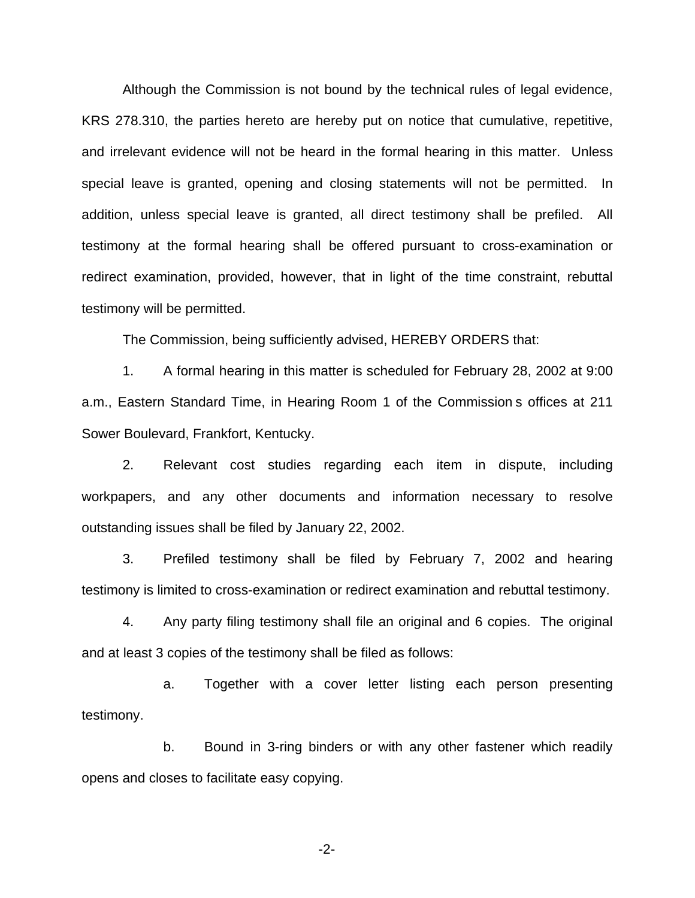Although the Commission is not bound by the technical rules of legal evidence, KRS 278.310, the parties hereto are hereby put on notice that cumulative, repetitive, and irrelevant evidence will not be heard in the formal hearing in this matter. Unless special leave is granted, opening and closing statements will not be permitted. In addition, unless special leave is granted, all direct testimony shall be prefiled. All testimony at the formal hearing shall be offered pursuant to cross-examination or redirect examination, provided, however, that in light of the time constraint, rebuttal testimony will be permitted.

The Commission, being sufficiently advised, HEREBY ORDERS that:

1. A formal hearing in this matter is scheduled for February 28, 2002 at 9:00 a.m., Eastern Standard Time, in Hearing Room 1 of the Commission s offices at 211 Sower Boulevard, Frankfort, Kentucky.

2. Relevant cost studies regarding each item in dispute, including workpapers, and any other documents and information necessary to resolve outstanding issues shall be filed by January 22, 2002.

3. Prefiled testimony shall be filed by February 7, 2002 and hearing testimony is limited to cross-examination or redirect examination and rebuttal testimony.

4. Any party filing testimony shall file an original and 6 copies. The original and at least 3 copies of the testimony shall be filed as follows:

a. Together with a cover letter listing each person presenting testimony.

b. Bound in 3-ring binders or with any other fastener which readily opens and closes to facilitate easy copying.

-2-